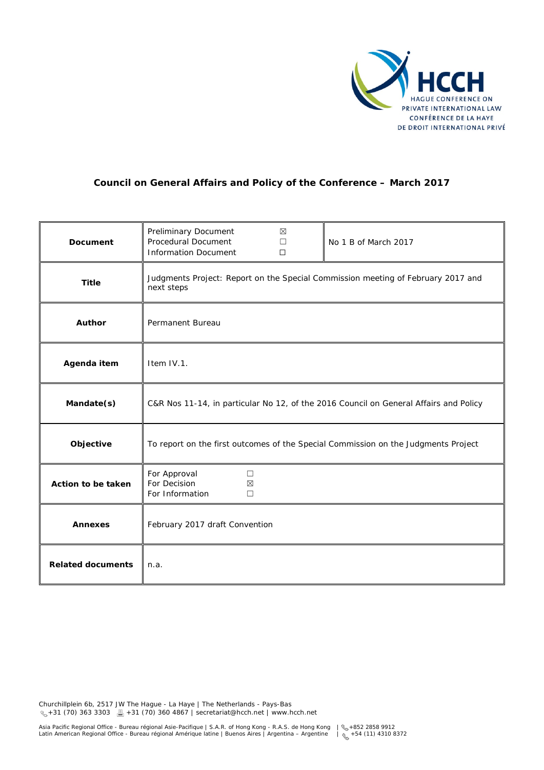

## **Council on General Affairs and Policy of the Conference – March 2017**

| <b>Document</b>          | <b>Preliminary Document</b><br>Procedural Document<br><b>Information Document</b>              | $\boxtimes$<br>П<br>$\Box$ | No 1 B of March 2017 |
|--------------------------|------------------------------------------------------------------------------------------------|----------------------------|----------------------|
| <b>Title</b>             | Judgments Project: Report on the Special Commission meeting of February 2017 and<br>next steps |                            |                      |
| <b>Author</b>            | Permanent Bureau                                                                               |                            |                      |
| Agenda item              | Item IV.1.                                                                                     |                            |                      |
| Mandate(s)               | C&R Nos 11-14, in particular No 12, of the 2016 Council on General Affairs and Policy          |                            |                      |
| Objective                | To report on the first outcomes of the Special Commission on the Judgments Project             |                            |                      |
| Action to be taken       | For Approval<br>□<br>For Decision<br>$\boxtimes$<br>For Information<br>П                       |                            |                      |
| <b>Annexes</b>           | February 2017 draft Convention                                                                 |                            |                      |
| <b>Related documents</b> | n.a.                                                                                           |                            |                      |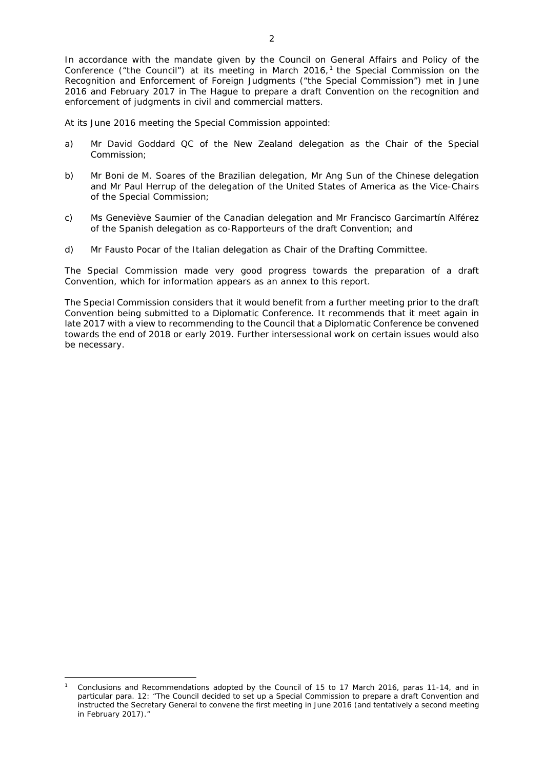In accordance with the mandate given by the Council on General Affairs and Policy of the Conference ("the Council") at its meeting in March 20[1](#page-1-0)6, $1$  the Special Commission on the Recognition and Enforcement of Foreign Judgments ("the Special Commission") met in June 2016 and February 2017 in The Hague to prepare a draft Convention on the recognition and enforcement of judgments in civil and commercial matters.

At its June 2016 meeting the Special Commission appointed:

- a) Mr David Goddard QC of the New Zealand delegation as the Chair of the Special Commission;
- b) Mr Boni de M. Soares of the Brazilian delegation, Mr Ang Sun of the Chinese delegation and Mr Paul Herrup of the delegation of the United States of America as the Vice-Chairs of the Special Commission;
- c) Ms Geneviève Saumier of the Canadian delegation and Mr Francisco Garcimartín Alférez of the Spanish delegation as *co-Rapporteurs* of the draft Convention; and
- d) Mr Fausto Pocar of the Italian delegation as Chair of the Drafting Committee.

The Special Commission made very good progress towards the preparation of a draft Convention, which for information appears as an annex to this report.

The Special Commission considers that it would benefit from a further meeting prior to the draft Convention being submitted to a Diplomatic Conference. It recommends that it meet again in late 2017 with a view to recommending to the Council that a Diplomatic Conference be convened towards the end of 2018 or early 2019. Further intersessional work on certain issues would also be necessary.

-

<span id="page-1-0"></span><sup>1</sup> Conclusions and Recommendations adopted by the Council of 15 to 17 March 2016, paras 11-14, and in particular para. 12: "*The Council decided to set up a Special Commission to prepare a draft Convention and instructed the Secretary General to convene the first meeting in June 2016 (and tentatively a second meeting in February 2017)."*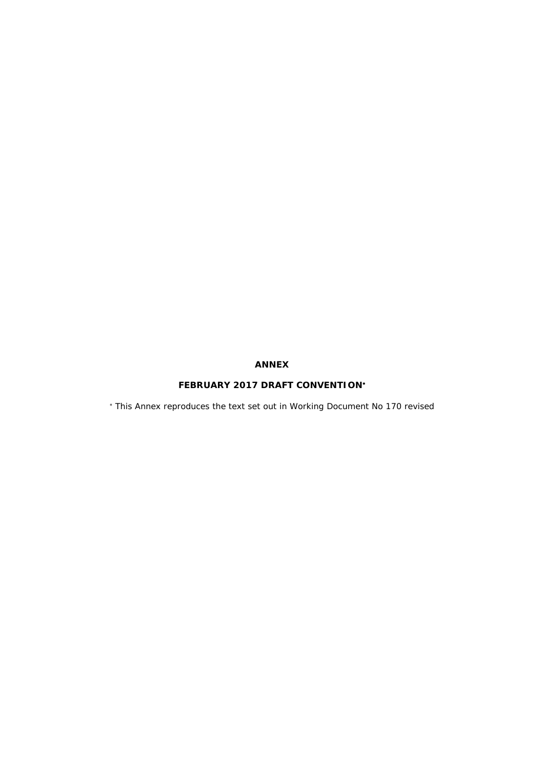## **ANNEX**

# **FEBRUARY 2017 DRAFT CONVENTION**<sup>∗</sup>

<sup>∗</sup> This Annex reproduces the text set out in Working Document No 170 revised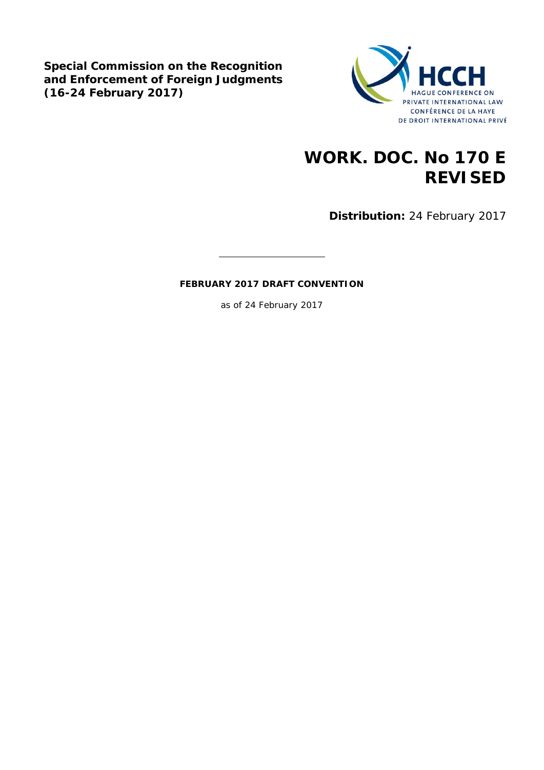**Special Commission on the Recognition and Enforcement of Foreign Judgments (16-24 February 2017)**



# **WORK. DOC. No 170 E REVISED**

**Distribution:** 24 February 2017

**FEBRUARY 2017 DRAFT CONVENTION**

as of 24 February 2017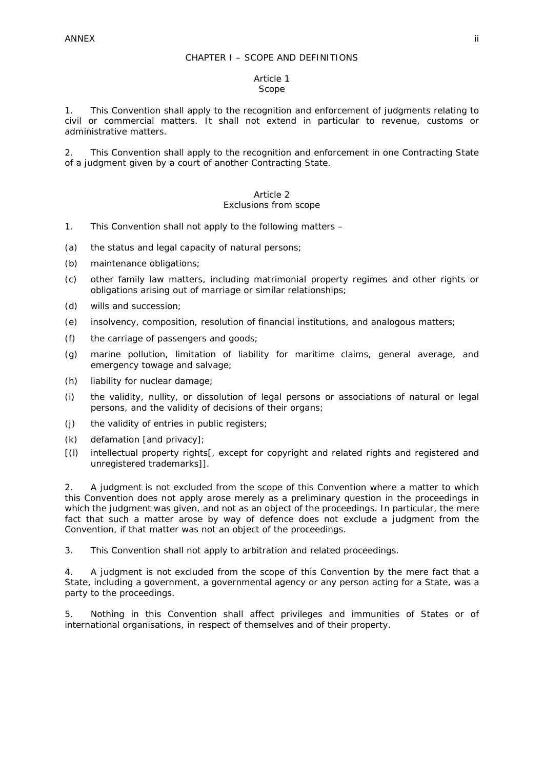## CHAPTER I – SCOPE AND DEFINITIONS

#### Article 1 *Scope*

1. This Convention shall apply to the recognition and enforcement of judgments relating to civil or commercial matters. It shall not extend in particular to revenue, customs or administrative matters.

2. This Convention shall apply to the recognition and enforcement in one Contracting State of a judgment given by a court of another Contracting State.

## Article 2 *Exclusions from scope*

- 1. This Convention shall not apply to the following matters –
- (a) the status and legal capacity of natural persons;
- (b) maintenance obligations;
- (c) other family law matters, including matrimonial property regimes and other rights or obligations arising out of marriage or similar relationships;
- (d) wills and succession;
- (e) insolvency, composition, resolution of financial institutions, and analogous matters;
- (f) the carriage of passengers and goods;
- (g) marine pollution, limitation of liability for maritime claims, general average, and emergency towage and salvage;
- (h) liability for nuclear damage;
- (i) the validity, nullity, or dissolution of legal persons or associations of natural or legal persons, and the validity of decisions of their organs;
- (j) the validity of entries in public registers;
- (k) defamation [and privacy];
- [(l) intellectual property rights[, except for copyright and related rights and registered and unregistered trademarks]].

2. A judgment is not excluded from the scope of this Convention where a matter to which this Convention does not apply arose merely as a preliminary question in the proceedings in which the judgment was given, and not as an object of the proceedings. In particular, the mere fact that such a matter arose by way of defence does not exclude a judgment from the Convention, if that matter was not an object of the proceedings.

3. This Convention shall not apply to arbitration and related proceedings.

4. A judgment is not excluded from the scope of this Convention by the mere fact that a State, including a government, a governmental agency or any person acting for a State, was a party to the proceedings.

5. Nothing in this Convention shall affect privileges and immunities of States or of international organisations, in respect of themselves and of their property.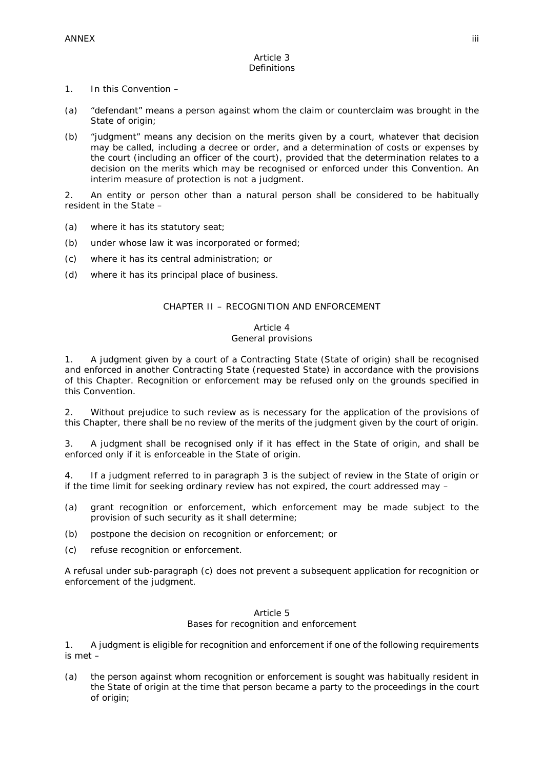## Article 3 *Definitions*

- 1. In this Convention –
- (a) "defendant" means a person against whom the claim or counterclaim was brought in the State of origin;
- (b) "judgment" means any decision on the merits given by a court, whatever that decision may be called, including a decree or order, and a determination of costs or expenses by the court (including an officer of the court), provided that the determination relates to a decision on the merits which may be recognised or enforced under this Convention. An interim measure of protection is not a judgment.

2. An entity or person other than a natural person shall be considered to be habitually resident in the State –

- (a) where it has its statutory seat;
- (b) under whose law it was incorporated or formed;
- (c) where it has its central administration; or
- (d) where it has its principal place of business.

## CHAPTER II – RECOGNITION AND ENFORCEMENT

#### Article 4

## *General provisions*

1. A judgment given by a court of a Contracting State (State of origin) shall be recognised and enforced in another Contracting State (requested State) in accordance with the provisions of this Chapter. Recognition or enforcement may be refused only on the grounds specified in this Convention.

2. Without prejudice to such review as is necessary for the application of the provisions of this Chapter, there shall be no review of the merits of the judgment given by the court of origin.

3. A judgment shall be recognised only if it has effect in the State of origin, and shall be enforced only if it is enforceable in the State of origin.

4. If a judgment referred to in paragraph 3 is the subject of review in the State of origin or if the time limit for seeking ordinary review has not expired, the court addressed may –

- (a) grant recognition or enforcement, which enforcement may be made subject to the provision of such security as it shall determine;
- (b) postpone the decision on recognition or enforcement; or
- (c) refuse recognition or enforcement.

A refusal under sub-paragraph (c) does not prevent a subsequent application for recognition or enforcement of the judgment.

#### Article 5 *Bases for recognition and enforcement*

1. A judgment is eligible for recognition and enforcement if one of the following requirements is met –

(a) the person against whom recognition or enforcement is sought was habitually resident in the State of origin at the time that person became a party to the proceedings in the court of origin;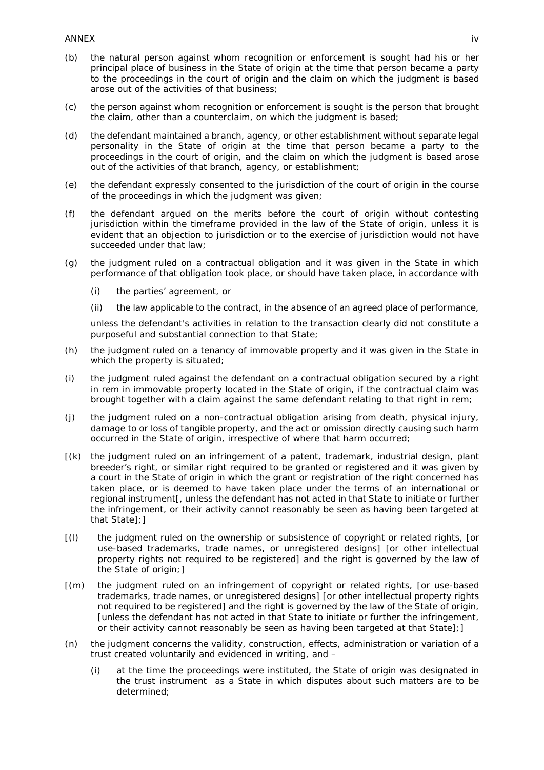- (b) the natural person against whom recognition or enforcement is sought had his or her principal place of business in the State of origin at the time that person became a party to the proceedings in the court of origin and the claim on which the judgment is based arose out of the activities of that business;
- (c) the person against whom recognition or enforcement is sought is the person that brought the claim, other than a counterclaim, on which the judgment is based;
- (d) the defendant maintained a branch, agency, or other establishment without separate legal personality in the State of origin at the time that person became a party to the proceedings in the court of origin, and the claim on which the judgment is based arose out of the activities of that branch, agency, or establishment;
- (e) the defendant expressly consented to the jurisdiction of the court of origin in the course of the proceedings in which the judgment was given;
- (f) the defendant argued on the merits before the court of origin without contesting jurisdiction within the timeframe provided in the law of the State of origin, unless it is evident that an objection to jurisdiction or to the exercise of jurisdiction would not have succeeded under that law;
- (g) the judgment ruled on a contractual obligation and it was given in the State in which performance of that obligation took place, or should have taken place, in accordance with
	- (i) the parties' agreement, or
	- (ii) the law applicable to the contract, in the absence of an agreed place of performance,

unless the defendant's activities in relation to the transaction clearly did not constitute a purposeful and substantial connection to that State;

- (h) the judgment ruled on a tenancy of immovable property and it was given in the State in which the property is situated;
- (i) the judgment ruled against the defendant on a contractual obligation secured by a right *in rem* in immovable property located in the State of origin, if the contractual claim was brought together with a claim against the same defendant relating to that right *in rem*;
- (j) the judgment ruled on a non-contractual obligation arising from death, physical injury, damage to or loss of tangible property, and the act or omission directly causing such harm occurred in the State of origin, irrespective of where that harm occurred;
- [(k) the judgment ruled on an infringement of a patent, trademark, industrial design, plant breeder's right, or similar right required to be granted or registered and it was given by a court in the State of origin in which the grant or registration of the right concerned has taken place, or is deemed to have taken place under the terms of an international or regional instrument[, unless the defendant has not acted in that State to initiate or further the infringement, or their activity cannot reasonably be seen as having been targeted at that State];]
- [(l) the judgment ruled on the ownership or subsistence of copyright or related rights, [or use-based trademarks, trade names, or unregistered designs] [or other intellectual property rights not required to be registered] and the right is governed by the law of the State of origin; I
- [(m) the judgment ruled on an infringement of copyright or related rights, [or use-based trademarks, trade names, or unregistered designs] [or other intellectual property rights not required to be registered] and the right is governed by the law of the State of origin, [unless the defendant has not acted in that State to initiate or further the infringement, or their activity cannot reasonably be seen as having been targeted at that State];]
- (n) the judgment concerns the validity, construction, effects, administration or variation of a trust created voluntarily and evidenced in writing, and –
	- (i) at the time the proceedings were instituted, the State of origin was designated in the trust instrument as a State in which disputes about such matters are to be determined;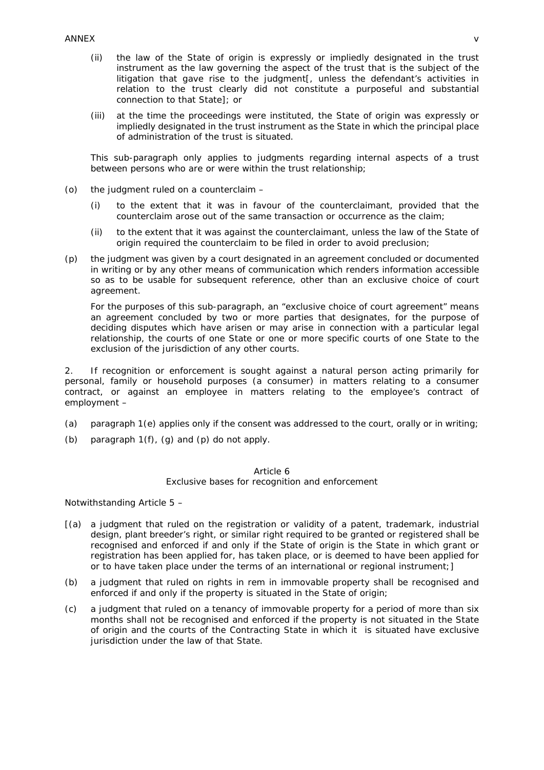- (ii) the law of the State of origin is expressly or impliedly designated in the trust instrument as the law governing the aspect of the trust that is the subject of the litigation that gave rise to the judgment[, unless the defendant's activities in relation to the trust clearly did not constitute a purposeful and substantial connection to that State]; or
- (iii) at the time the proceedings were instituted, the State of origin was expressly or impliedly designated in the trust instrument as the State in which the principal place of administration of the trust is situated.

This sub-paragraph only applies to judgments regarding internal aspects of a trust between persons who are or were within the trust relationship;

- (o) the judgment ruled on a counterclaim
	- (i) to the extent that it was in favour of the counterclaimant, provided that the counterclaim arose out of the same transaction or occurrence as the claim;
	- (ii) to the extent that it was against the counterclaimant, unless the law of the State of origin required the counterclaim to be filed in order to avoid preclusion;
- (p) the judgment was given by a court designated in an agreement concluded or documented in writing or by any other means of communication which renders information accessible so as to be usable for subsequent reference, other than an exclusive choice of court agreement.

For the purposes of this sub-paragraph, an "exclusive choice of court agreement" means an agreement concluded by two or more parties that designates, for the purpose of deciding disputes which have arisen or may arise in connection with a particular legal relationship, the courts of one State or one or more specific courts of one State to the exclusion of the jurisdiction of any other courts.

2. If recognition or enforcement is sought against a natural person acting primarily for personal, family or household purposes (a consumer) in matters relating to a consumer contract, or against an employee in matters relating to the employee's contract of employment –

- (a) paragraph 1(e) applies only if the consent was addressed to the court, orally or in writing;
- (b) paragraph 1(f), (g) and (p) do not apply.

#### Article 6

*Exclusive bases for recognition and enforcement* 

Notwithstanding Article 5 –

- [(a) a judgment that ruled on the registration or validity of a patent, trademark, industrial design, plant breeder's right, or similar right required to be granted or registered shall be recognised and enforced if and only if the State of origin is the State in which grant or registration has been applied for, has taken place, or is deemed to have been applied for or to have taken place under the terms of an international or regional instrument;]
- (b) a judgment that ruled on rights *in rem* in immovable property shall be recognised and enforced if and only if the property is situated in the State of origin;
- (c) a judgment that ruled on a tenancy of immovable property for a period of more than six months shall not be recognised and enforced if the property is not situated in the State of origin and the courts of the Contracting State in which it is situated have exclusive jurisdiction under the law of that State.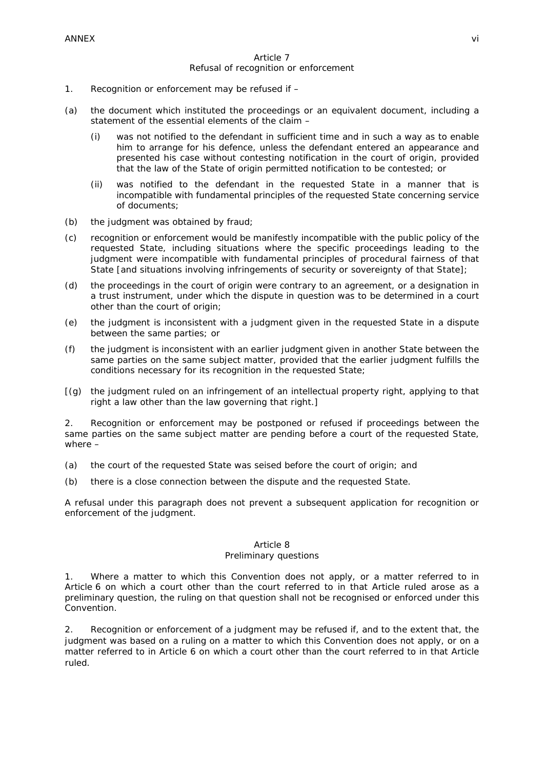#### Article 7 *Refusal of recognition or enforcement*

- 1. Recognition or enforcement may be refused if –
- (a) the document which instituted the proceedings or an equivalent document, including a statement of the essential elements of the claim –
	- (i) was not notified to the defendant in sufficient time and in such a way as to enable him to arrange for his defence, unless the defendant entered an appearance and presented his case without contesting notification in the court of origin, provided that the law of the State of origin permitted notification to be contested; or
	- (ii) was notified to the defendant in the requested State in a manner that is incompatible with fundamental principles of the requested State concerning service of documents;
- (b) the judgment was obtained by fraud;
- (c) recognition or enforcement would be manifestly incompatible with the public policy of the requested State, including situations where the specific proceedings leading to the judgment were incompatible with fundamental principles of procedural fairness of that State [and situations involving infringements of security or sovereignty of that State];
- (d) the proceedings in the court of origin were contrary to an agreement, or a designation in a trust instrument, under which the dispute in question was to be determined in a court other than the court of origin;
- (e) the judgment is inconsistent with a judgment given in the requested State in a dispute between the same parties; or
- (f) the judgment is inconsistent with an earlier judgment given in another State between the same parties on the same subject matter, provided that the earlier judgment fulfills the conditions necessary for its recognition in the requested State;
- [(g) the judgment ruled on an infringement of an intellectual property right, applying to that right a law other than the law governing that right.]

2. Recognition or enforcement may be postponed or refused if proceedings between the same parties on the same subject matter are pending before a court of the requested State, where –

- (a) the court of the requested State was seised before the court of origin; and
- (b) there is a close connection between the dispute and the requested State.

A refusal under this paragraph does not prevent a subsequent application for recognition or enforcement of the judgment.

## Article 8

#### *Preliminary questions*

1. Where a matter to which this Convention does not apply, or a matter referred to in Article 6 on which a court other than the court referred to in that Article ruled arose as a preliminary question, the ruling on that question shall not be recognised or enforced under this Convention.

2. Recognition or enforcement of a judgment may be refused if, and to the extent that, the judgment was based on a ruling on a matter to which this Convention does not apply, or on a matter referred to in Article 6 on which a court other than the court referred to in that Article ruled.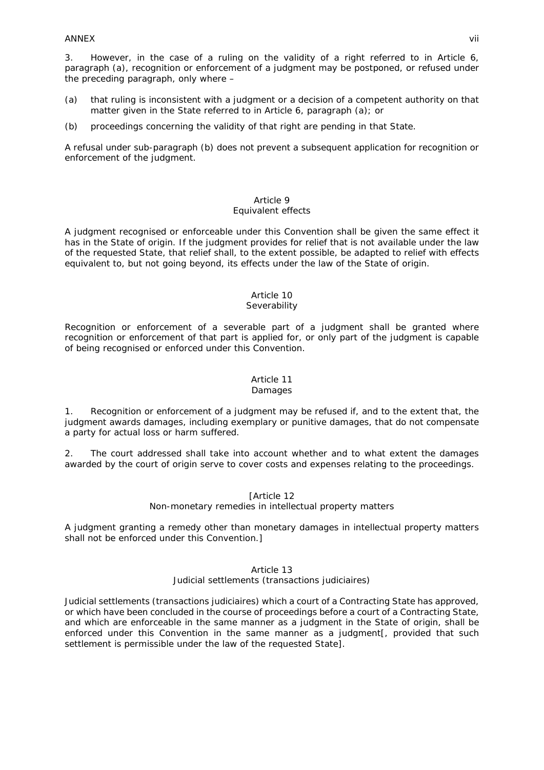#### ANNEX vii

3. However, in the case of a ruling on the validity of a right referred to in Article 6, paragraph (a), recognition or enforcement of a judgment may be postponed, or refused under the preceding paragraph, only where –

- (a) that ruling is inconsistent with a judgment or a decision of a competent authority on that matter given in the State referred to in Article 6, paragraph (a); or
- (b) proceedings concerning the validity of that right are pending in that State.

A refusal under sub-paragraph (b) does not prevent a subsequent application for recognition or enforcement of the judgment.

## Article 9

## *Equivalent effects*

A judgment recognised or enforceable under this Convention shall be given the same effect it has in the State of origin. If the judgment provides for relief that is not available under the law of the requested State, that relief shall, to the extent possible, be adapted to relief with effects equivalent to, but not going beyond, its effects under the law of the State of origin.

## Article 10

#### *Severability*

Recognition or enforcement of a severable part of a judgment shall be granted where recognition or enforcement of that part is applied for, or only part of the judgment is capable of being recognised or enforced under this Convention.

## Article 11

#### *Damages*

1. Recognition or enforcement of a judgment may be refused if, and to the extent that, the judgment awards damages, including exemplary or punitive damages, that do not compensate a party for actual loss or harm suffered.

2. The court addressed shall take into account whether and to what extent the damages awarded by the court of origin serve to cover costs and expenses relating to the proceedings.

## [Article 12

## *Non-monetary remedies in intellectual property matters*

A judgment granting a remedy other than monetary damages in intellectual property matters shall not be enforced under this Convention.]

## Article 13

#### *Judicial settlements* (transactions judiciaires)

Judicial settlements (*transactions judiciaires*) which a court of a Contracting State has approved, or which have been concluded in the course of proceedings before a court of a Contracting State, and which are enforceable in the same manner as a judgment in the State of origin, shall be enforced under this Convention in the same manner as a judgment[, provided that such settlement is permissible under the law of the requested State].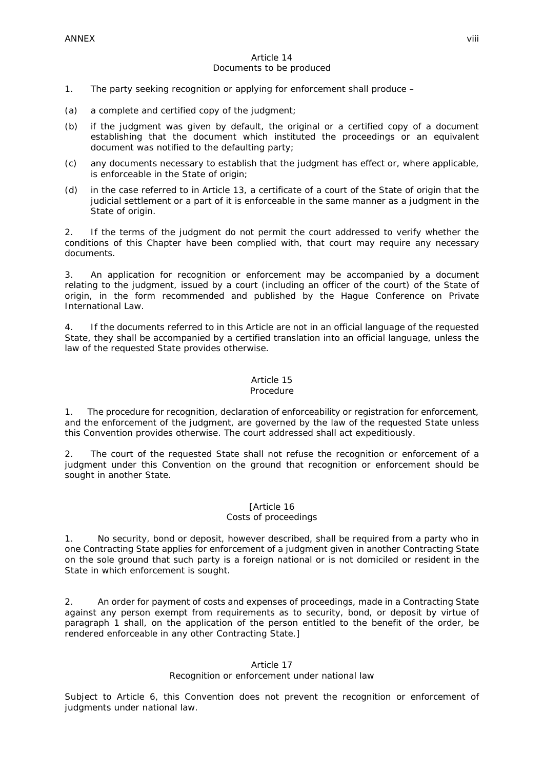#### Article 14 *Documents to be produced*

- 1. The party seeking recognition or applying for enforcement shall produce –
- (a) a complete and certified copy of the judgment;
- (b) if the judgment was given by default, the original or a certified copy of a document establishing that the document which instituted the proceedings or an equivalent document was notified to the defaulting party;
- (c) any documents necessary to establish that the judgment has effect or, where applicable, is enforceable in the State of origin;
- (d) in the case referred to in Article 13, a certificate of a court of the State of origin that the judicial settlement or a part of it is enforceable in the same manner as a judgment in the State of origin.

2. If the terms of the judgment do not permit the court addressed to verify whether the conditions of this Chapter have been complied with, that court may require any necessary documents.

3. An application for recognition or enforcement may be accompanied by a document relating to the judgment, issued by a court (including an officer of the court) of the State of origin, in the form recommended and published by the Hague Conference on Private International Law.

4. If the documents referred to in this Article are not in an official language of the requested State, they shall be accompanied by a certified translation into an official language, unless the law of the requested State provides otherwise.

## Article 15

## *Procedure*

1. The procedure for recognition, declaration of enforceability or registration for enforcement, and the enforcement of the judgment, are governed by the law of the requested State unless this Convention provides otherwise. The court addressed shall act expeditiously.

2. The court of the requested State shall not refuse the recognition or enforcement of a judgment under this Convention on the ground that recognition or enforcement should be sought in another State.

#### **[Article 16** *Costs of proceedings*

1. No security, bond or deposit, however described, shall be required from a party who in one Contracting State applies for enforcement of a judgment given in another Contracting State on the sole ground that such party is a foreign national or is not domiciled or resident in the State in which enforcement is sought.

2. An order for payment of costs and expenses of proceedings, made in a Contracting State against any person exempt from requirements as to security, bond, or deposit by virtue of paragraph 1 shall, on the application of the person entitled to the benefit of the order, be rendered enforceable in any other Contracting State.]

## Article 17

## *Recognition or enforcement under national law*

Subject to Article 6, this Convention does not prevent the recognition or enforcement of judgments under national law.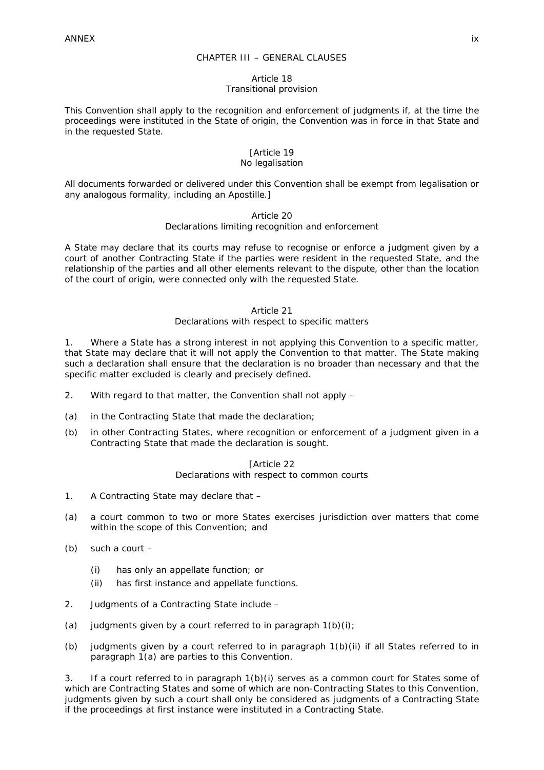## CHAPTER III – GENERAL CLAUSES

#### Article 18 *Transitional provision*

This Convention shall apply to the recognition and enforcement of judgments if, at the time the proceedings were instituted in the State of origin, the Convention was in force in that State and in the requested State.

## [Article 19

## *No legalisation*

All documents forwarded or delivered under this Convention shall be exempt from legalisation or any analogous formality, including an Apostille.]

## Article 20

## *Declarations limiting recognition and enforcement*

A State may declare that its courts may refuse to recognise or enforce a judgment given by a court of another Contracting State if the parties were resident in the requested State, and the relationship of the parties and all other elements relevant to the dispute, other than the location of the court of origin, were connected only with the requested State.

#### Article 21

## *Declarations with respect to specific matters*

1. Where a State has a strong interest in not applying this Convention to a specific matter, that State may declare that it will not apply the Convention to that matter. The State making such a declaration shall ensure that the declaration is no broader than necessary and that the specific matter excluded is clearly and precisely defined.

- 2. With regard to that matter, the Convention shall not apply –
- (a) in the Contracting State that made the declaration;
- (b) in other Contracting States, where recognition or enforcement of a judgment given in a Contracting State that made the declaration is sought.

## [Article 22

## *Declarations with respect to common courts*

- 1. A Contracting State may declare that –
- (a) a court common to two or more States exercises jurisdiction over matters that come within the scope of this Convention; and
- (b) such a court
	- (i) has only an appellate function; or
	- (ii) has first instance and appellate functions.
- 2. Judgments of a Contracting State include –
- (a) judgments given by a court referred to in paragraph  $1(b)(i)$ ;
- (b) judgments given by a court referred to in paragraph 1(b)(ii) if all States referred to in paragraph 1(a) are parties to this Convention.

3. If a court referred to in paragraph 1(b)(i) serves as a common court for States some of which are Contracting States and some of which are non-Contracting States to this Convention, judgments given by such a court shall only be considered as judgments of a Contracting State if the proceedings at first instance were instituted in a Contracting State.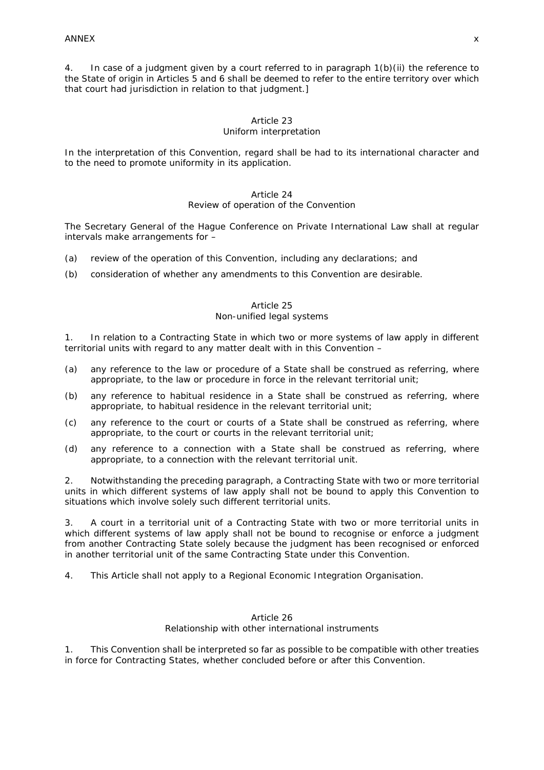4. In case of a judgment given by a court referred to in paragraph 1(b)(ii) the reference to the State of origin in Articles 5 and 6 shall be deemed to refer to the entire territory over which that court had jurisdiction in relation to that judgment.]

#### Article 23 *Uniform interpretation*

In the interpretation of this Convention, regard shall be had to its international character and to the need to promote uniformity in its application.

#### Article 24 *Review of operation of the Convention*

The Secretary General of the Hague Conference on Private International Law shall at regular intervals make arrangements for –

- (a) review of the operation of this Convention, including any declarations; and
- (b) consideration of whether any amendments to this Convention are desirable.

## Article 25 *Non-unified legal systems*

1. In relation to a Contracting State in which two or more systems of law apply in different territorial units with regard to any matter dealt with in this Convention –

- (a) any reference to the law or procedure of a State shall be construed as referring, where appropriate, to the law or procedure in force in the relevant territorial unit;
- (b) any reference to habitual residence in a State shall be construed as referring, where appropriate, to habitual residence in the relevant territorial unit;
- (c) any reference to the court or courts of a State shall be construed as referring, where appropriate, to the court or courts in the relevant territorial unit;
- (d) any reference to a connection with a State shall be construed as referring, where appropriate, to a connection with the relevant territorial unit.

2. Notwithstanding the preceding paragraph, a Contracting State with two or more territorial units in which different systems of law apply shall not be bound to apply this Convention to situations which involve solely such different territorial units.

3. A court in a territorial unit of a Contracting State with two or more territorial units in which different systems of law apply shall not be bound to recognise or enforce a judgment from another Contracting State solely because the judgment has been recognised or enforced in another territorial unit of the same Contracting State under this Convention.

4. This Article shall not apply to a Regional Economic Integration Organisation.

#### Article 26 *Relationship with other international instruments*

1. This Convention shall be interpreted so far as possible to be compatible with other treaties in force for Contracting States, whether concluded before or after this Convention.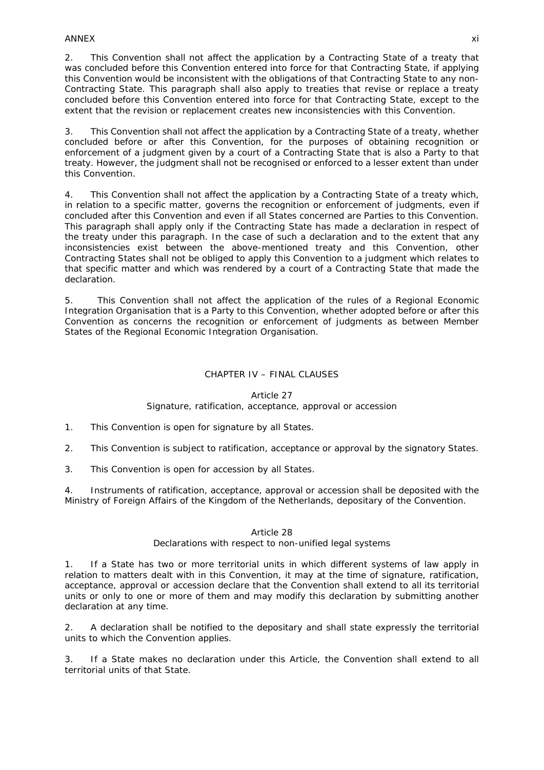#### ANNEX xi

2. This Convention shall not affect the application by a Contracting State of a treaty that was concluded before this Convention entered into force for that Contracting State, if applying this Convention would be inconsistent with the obligations of that Contracting State to any non-Contracting State. This paragraph shall also apply to treaties that revise or replace a treaty concluded before this Convention entered into force for that Contracting State, except to the extent that the revision or replacement creates new inconsistencies with this Convention.

3. This Convention shall not affect the application by a Contracting State of a treaty, whether concluded before or after this Convention, for the purposes of obtaining recognition or enforcement of a judgment given by a court of a Contracting State that is also a Party to that treaty. However, the judgment shall not be recognised or enforced to a lesser extent than under this Convention.

4. This Convention shall not affect the application by a Contracting State of a treaty which, in relation to a specific matter, governs the recognition or enforcement of judgments, even if concluded after this Convention and even if all States concerned are Parties to this Convention. This paragraph shall apply only if the Contracting State has made a declaration in respect of the treaty under this paragraph. In the case of such a declaration and to the extent that any inconsistencies exist between the above-mentioned treaty and this Convention, other Contracting States shall not be obliged to apply this Convention to a judgment which relates to that specific matter and which was rendered by a court of a Contracting State that made the declaration.

5. This Convention shall not affect the application of the rules of a Regional Economic Integration Organisation that is a Party to this Convention, whether adopted before or after this Convention as concerns the recognition or enforcement of judgments as between Member States of the Regional Economic Integration Organisation.

## CHAPTER IV – FINAL CLAUSES

## Article 27

## *Signature, ratification, acceptance, approval or accession*

1. This Convention is open for signature by all States.

2. This Convention is subject to ratification, acceptance or approval by the signatory States.

3. This Convention is open for accession by all States.

4. Instruments of ratification, acceptance, approval or accession shall be deposited with the Ministry of Foreign Affairs of the Kingdom of the Netherlands, depositary of the Convention.

#### Article 28

#### *Declarations with respect to non-unified legal systems*

1. If a State has two or more territorial units in which different systems of law apply in relation to matters dealt with in this Convention, it may at the time of signature, ratification, acceptance, approval or accession declare that the Convention shall extend to all its territorial units or only to one or more of them and may modify this declaration by submitting another declaration at any time.

2. A declaration shall be notified to the depositary and shall state expressly the territorial units to which the Convention applies.

3. If a State makes no declaration under this Article, the Convention shall extend to all territorial units of that State.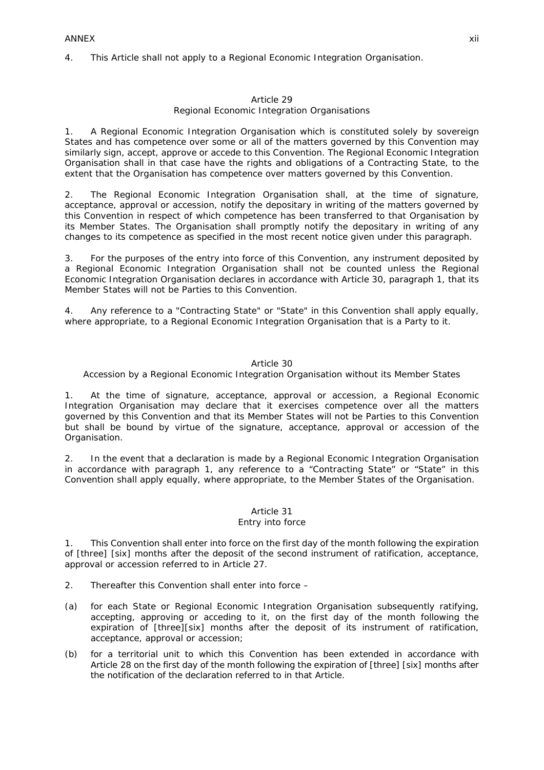4. This Article shall not apply to a Regional Economic Integration Organisation.

## Article 29 *Regional Economic Integration Organisations*

1. A Regional Economic Integration Organisation which is constituted solely by sovereign States and has competence over some or all of the matters governed by this Convention may similarly sign, accept, approve or accede to this Convention. The Regional Economic Integration Organisation shall in that case have the rights and obligations of a Contracting State, to the extent that the Organisation has competence over matters governed by this Convention.

2. The Regional Economic Integration Organisation shall, at the time of signature, acceptance, approval or accession, notify the depositary in writing of the matters governed by this Convention in respect of which competence has been transferred to that Organisation by its Member States. The Organisation shall promptly notify the depositary in writing of any changes to its competence as specified in the most recent notice given under this paragraph.

3. For the purposes of the entry into force of this Convention, any instrument deposited by a Regional Economic Integration Organisation shall not be counted unless the Regional Economic Integration Organisation declares in accordance with Article 30, paragraph 1, that its Member States will not be Parties to this Convention.

4. Any reference to a "Contracting State" or "State" in this Convention shall apply equally, where appropriate, to a Regional Economic Integration Organisation that is a Party to it.

## Article 30

## *Accession by a Regional Economic Integration Organisation without its Member States*

1. At the time of signature, acceptance, approval or accession, a Regional Economic Integration Organisation may declare that it exercises competence over all the matters governed by this Convention and that its Member States will not be Parties to this Convention but shall be bound by virtue of the signature, acceptance, approval or accession of the Organisation.

2. In the event that a declaration is made by a Regional Economic Integration Organisation in accordance with paragraph 1, any reference to a "Contracting State" or "State" in this Convention shall apply equally, where appropriate, to the Member States of the Organisation.

#### Article 31 *Entry into force*

1. This Convention shall enter into force on the first day of the month following the expiration of [three] [six] months after the deposit of the second instrument of ratification, acceptance, approval or accession referred to in Article 27.

- 2. Thereafter this Convention shall enter into force –
- (a) for each State or Regional Economic Integration Organisation subsequently ratifying, accepting, approving or acceding to it, on the first day of the month following the expiration of [three][six] months after the deposit of its instrument of ratification, acceptance, approval or accession;
- (b) for a territorial unit to which this Convention has been extended in accordance with Article 28 on the first day of the month following the expiration of [three] [six] months after the notification of the declaration referred to in that Article.